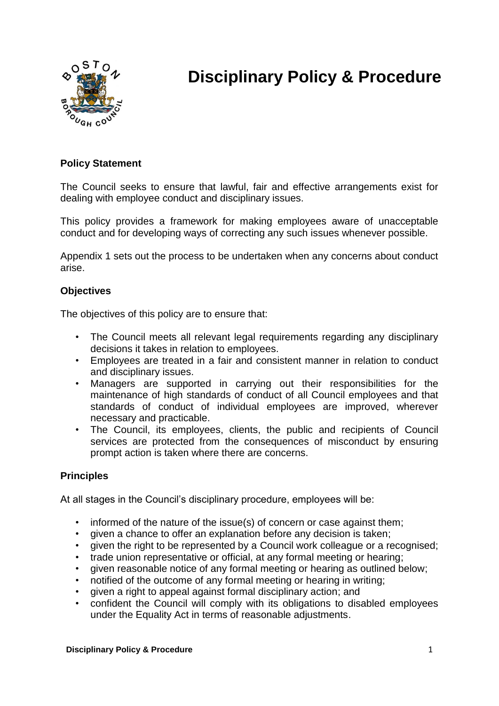

# **Disciplinary Policy & Procedure**

# **Policy Statement**

The Council seeks to ensure that lawful, fair and effective arrangements exist for dealing with employee conduct and disciplinary issues.

This policy provides a framework for making employees aware of unacceptable conduct and for developing ways of correcting any such issues whenever possible.

Appendix 1 sets out the process to be undertaken when any concerns about conduct arise.

## **Objectives**

The objectives of this policy are to ensure that:

- The Council meets all relevant legal requirements regarding any disciplinary decisions it takes in relation to employees.
- Employees are treated in a fair and consistent manner in relation to conduct and disciplinary issues.
- Managers are supported in carrying out their responsibilities for the maintenance of high standards of conduct of all Council employees and that standards of conduct of individual employees are improved, wherever necessary and practicable.
- The Council, its employees, clients, the public and recipients of Council services are protected from the consequences of misconduct by ensuring prompt action is taken where there are concerns.

# **Principles**

At all stages in the Council's disciplinary procedure, employees will be:

- informed of the nature of the issue(s) of concern or case against them;
- given a chance to offer an explanation before any decision is taken;
- given the right to be represented by a Council work colleague or a recognised;
- trade union representative or official, at any formal meeting or hearing;
- given reasonable notice of any formal meeting or hearing as outlined below;
- notified of the outcome of any formal meeting or hearing in writing;
- given a right to appeal against formal disciplinary action; and
- confident the Council will comply with its obligations to disabled employees under the Equality Act in terms of reasonable adjustments.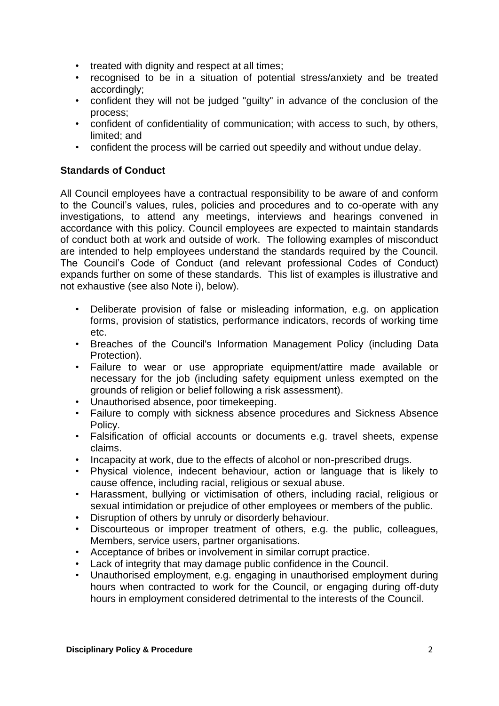- treated with dignity and respect at all times;
- recognised to be in a situation of potential stress/anxiety and be treated accordingly;
- confident they will not be judged "guilty" in advance of the conclusion of the process;
- confident of confidentiality of communication; with access to such, by others, limited; and
- confident the process will be carried out speedily and without undue delay.

# **Standards of Conduct**

All Council employees have a contractual responsibility to be aware of and conform to the Council's values, rules, policies and procedures and to co-operate with any investigations, to attend any meetings, interviews and hearings convened in accordance with this policy. Council employees are expected to maintain standards of conduct both at work and outside of work. The following examples of misconduct are intended to help employees understand the standards required by the Council. The Council's Code of Conduct (and relevant professional Codes of Conduct) expands further on some of these standards. This list of examples is illustrative and not exhaustive (see also Note i), below).

- Deliberate provision of false or misleading information, e.g. on application forms, provision of statistics, performance indicators, records of working time etc.
- Breaches of the Council's Information Management Policy (including Data Protection).
- Failure to wear or use appropriate equipment/attire made available or necessary for the job (including safety equipment unless exempted on the grounds of religion or belief following a risk assessment).
- Unauthorised absence, poor timekeeping.
- Failure to comply with sickness absence procedures and Sickness Absence Policy.
- Falsification of official accounts or documents e.g. travel sheets, expense claims.
- Incapacity at work, due to the effects of alcohol or non-prescribed drugs.
- Physical violence, indecent behaviour, action or language that is likely to cause offence, including racial, religious or sexual abuse.
- Harassment, bullying or victimisation of others, including racial, religious or sexual intimidation or prejudice of other employees or members of the public.
- Disruption of others by unruly or disorderly behaviour.
- Discourteous or improper treatment of others, e.g. the public, colleagues, Members, service users, partner organisations.
- Acceptance of bribes or involvement in similar corrupt practice.
- Lack of integrity that may damage public confidence in the Council.
- Unauthorised employment, e.g. engaging in unauthorised employment during hours when contracted to work for the Council, or engaging during off-duty hours in employment considered detrimental to the interests of the Council.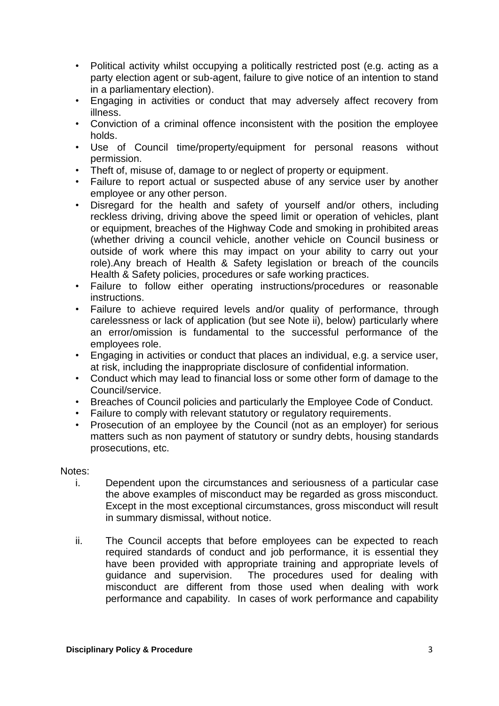- Political activity whilst occupying a politically restricted post (e.g. acting as a party election agent or sub-agent, failure to give notice of an intention to stand in a parliamentary election).
- Engaging in activities or conduct that may adversely affect recovery from illness.
- Conviction of a criminal offence inconsistent with the position the employee holds.
- Use of Council time/property/equipment for personal reasons without permission.
- Theft of, misuse of, damage to or neglect of property or equipment.
- Failure to report actual or suspected abuse of any service user by another employee or any other person.
- Disregard for the health and safety of yourself and/or others, including reckless driving, driving above the speed limit or operation of vehicles, plant or equipment, breaches of the Highway Code and smoking in prohibited areas (whether driving a council vehicle, another vehicle on Council business or outside of work where this may impact on your ability to carry out your role).Any breach of Health & Safety legislation or breach of the councils Health & Safety policies, procedures or safe working practices.
- Failure to follow either operating instructions/procedures or reasonable instructions.
- Failure to achieve required levels and/or quality of performance, through carelessness or lack of application (but see Note ii), below) particularly where an error/omission is fundamental to the successful performance of the employees role.
- Engaging in activities or conduct that places an individual, e.g. a service user, at risk, including the inappropriate disclosure of confidential information.
- Conduct which may lead to financial loss or some other form of damage to the Council/service.
- Breaches of Council policies and particularly the Employee Code of Conduct.
- Failure to comply with relevant statutory or regulatory requirements.
- Prosecution of an employee by the Council (not as an employer) for serious matters such as non payment of statutory or sundry debts, housing standards prosecutions, etc.

# Notes:

- i. Dependent upon the circumstances and seriousness of a particular case the above examples of misconduct may be regarded as gross misconduct. Except in the most exceptional circumstances, gross misconduct will result in summary dismissal, without notice.
- ii. The Council accepts that before employees can be expected to reach required standards of conduct and job performance, it is essential they have been provided with appropriate training and appropriate levels of guidance and supervision. The procedures used for dealing with misconduct are different from those used when dealing with work performance and capability. In cases of work performance and capability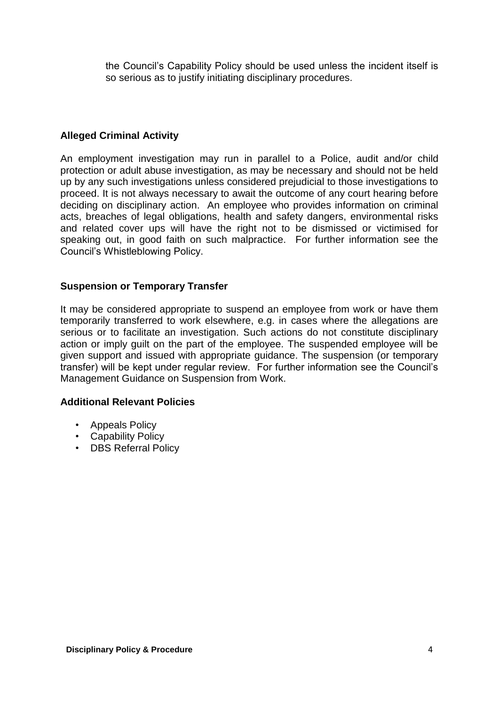the Council's Capability Policy should be used unless the incident itself is so serious as to justify initiating disciplinary procedures.

# **Alleged Criminal Activity**

An employment investigation may run in parallel to a Police, audit and/or child protection or adult abuse investigation, as may be necessary and should not be held up by any such investigations unless considered prejudicial to those investigations to proceed. It is not always necessary to await the outcome of any court hearing before deciding on disciplinary action. An employee who provides information on criminal acts, breaches of legal obligations, health and safety dangers, environmental risks and related cover ups will have the right not to be dismissed or victimised for speaking out, in good faith on such malpractice. For further information see the Council's Whistleblowing Policy.

# **Suspension or Temporary Transfer**

It may be considered appropriate to suspend an employee from work or have them temporarily transferred to work elsewhere, e.g. in cases where the allegations are serious or to facilitate an investigation. Such actions do not constitute disciplinary action or imply guilt on the part of the employee. The suspended employee will be given support and issued with appropriate guidance. The suspension (or temporary transfer) will be kept under regular review. For further information see the Council's Management Guidance on Suspension from Work.

# **Additional Relevant Policies**

- Appeals Policy
- Capability Policy
- DBS Referral Policy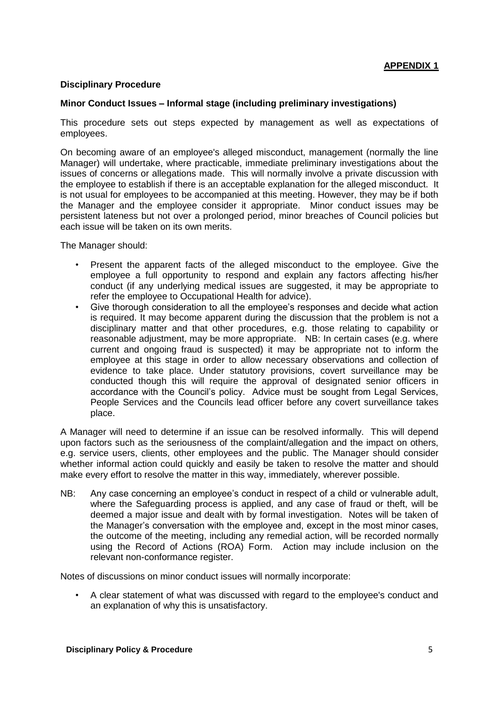## **Disciplinary Procedure**

#### **Minor Conduct Issues – Informal stage (including preliminary investigations)**

This procedure sets out steps expected by management as well as expectations of employees.

On becoming aware of an employee's alleged misconduct, management (normally the line Manager) will undertake, where practicable, immediate preliminary investigations about the issues of concerns or allegations made. This will normally involve a private discussion with the employee to establish if there is an acceptable explanation for the alleged misconduct. It is not usual for employees to be accompanied at this meeting. However, they may be if both the Manager and the employee consider it appropriate. Minor conduct issues may be persistent lateness but not over a prolonged period, minor breaches of Council policies but each issue will be taken on its own merits.

The Manager should:

- Present the apparent facts of the alleged misconduct to the employee. Give the employee a full opportunity to respond and explain any factors affecting his/her conduct (if any underlying medical issues are suggested, it may be appropriate to refer the employee to Occupational Health for advice).
- Give thorough consideration to all the employee's responses and decide what action is required. It may become apparent during the discussion that the problem is not a disciplinary matter and that other procedures, e.g. those relating to capability or reasonable adjustment, may be more appropriate. NB: In certain cases (e.g. where current and ongoing fraud is suspected) it may be appropriate not to inform the employee at this stage in order to allow necessary observations and collection of evidence to take place. Under statutory provisions, covert surveillance may be conducted though this will require the approval of designated senior officers in accordance with the Council's policy. Advice must be sought from Legal Services, People Services and the Councils lead officer before any covert surveillance takes place.

A Manager will need to determine if an issue can be resolved informally. This will depend upon factors such as the seriousness of the complaint/allegation and the impact on others, e.g. service users, clients, other employees and the public. The Manager should consider whether informal action could quickly and easily be taken to resolve the matter and should make every effort to resolve the matter in this way, immediately, wherever possible.

NB: Any case concerning an employee's conduct in respect of a child or vulnerable adult, where the Safeguarding process is applied, and any case of fraud or theft, will be deemed a major issue and dealt with by formal investigation. Notes will be taken of the Manager's conversation with the employee and, except in the most minor cases, the outcome of the meeting, including any remedial action, will be recorded normally using the Record of Actions (ROA) Form. Action may include inclusion on the relevant non-conformance register.

Notes of discussions on minor conduct issues will normally incorporate:

• A clear statement of what was discussed with regard to the employee's conduct and an explanation of why this is unsatisfactory.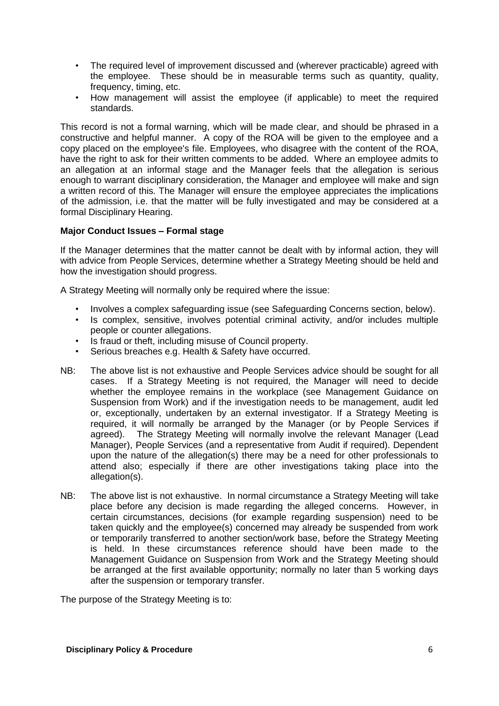- The required level of improvement discussed and (wherever practicable) agreed with the employee. These should be in measurable terms such as quantity, quality, frequency, timing, etc.
- How management will assist the employee (if applicable) to meet the required standards.

This record is not a formal warning, which will be made clear, and should be phrased in a constructive and helpful manner. A copy of the ROA will be given to the employee and a copy placed on the employee's file. Employees, who disagree with the content of the ROA, have the right to ask for their written comments to be added. Where an employee admits to an allegation at an informal stage and the Manager feels that the allegation is serious enough to warrant disciplinary consideration, the Manager and employee will make and sign a written record of this. The Manager will ensure the employee appreciates the implications of the admission, i.e. that the matter will be fully investigated and may be considered at a formal Disciplinary Hearing.

## **Major Conduct Issues – Formal stage**

If the Manager determines that the matter cannot be dealt with by informal action, they will with advice from People Services, determine whether a Strategy Meeting should be held and how the investigation should progress.

A Strategy Meeting will normally only be required where the issue:

- Involves a complex safeguarding issue (see Safeguarding Concerns section, below).
- Is complex, sensitive, involves potential criminal activity, and/or includes multiple people or counter allegations.
- Is fraud or theft, including misuse of Council property.
- Serious breaches e.g. Health & Safety have occurred.
- NB: The above list is not exhaustive and People Services advice should be sought for all cases. If a Strategy Meeting is not required, the Manager will need to decide whether the employee remains in the workplace (see Management Guidance on Suspension from Work) and if the investigation needs to be management, audit led or, exceptionally, undertaken by an external investigator. If a Strategy Meeting is required, it will normally be arranged by the Manager (or by People Services if agreed). The Strategy Meeting will normally involve the relevant Manager (Lead Manager), People Services (and a representative from Audit if required). Dependent upon the nature of the allegation(s) there may be a need for other professionals to attend also; especially if there are other investigations taking place into the allegation(s).
- NB: The above list is not exhaustive. In normal circumstance a Strategy Meeting will take place before any decision is made regarding the alleged concerns. However, in certain circumstances, decisions (for example regarding suspension) need to be taken quickly and the employee(s) concerned may already be suspended from work or temporarily transferred to another section/work base, before the Strategy Meeting is held. In these circumstances reference should have been made to the Management Guidance on Suspension from Work and the Strategy Meeting should be arranged at the first available opportunity; normally no later than 5 working days after the suspension or temporary transfer.

The purpose of the Strategy Meeting is to: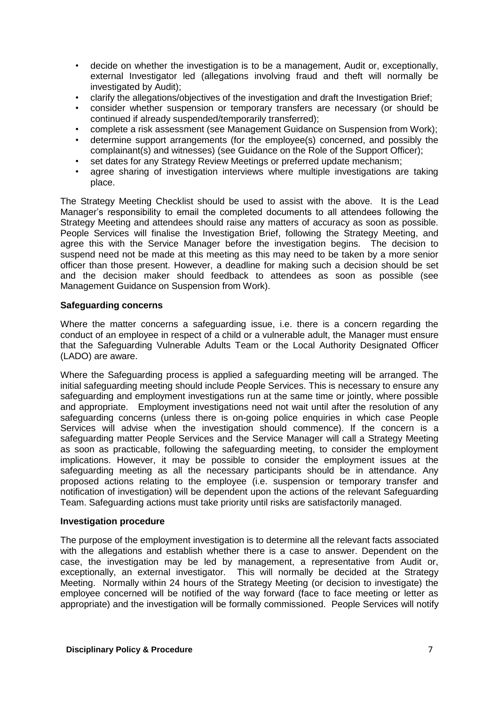- decide on whether the investigation is to be a management, Audit or, exceptionally, external Investigator led (allegations involving fraud and theft will normally be investigated by Audit);
- clarify the allegations/objectives of the investigation and draft the Investigation Brief;
- consider whether suspension or temporary transfers are necessary (or should be continued if already suspended/temporarily transferred);
- complete a risk assessment (see Management Guidance on Suspension from Work);
- determine support arrangements (for the employee(s) concerned, and possibly the complainant(s) and witnesses) (see Guidance on the Role of the Support Officer);
- set dates for any Strategy Review Meetings or preferred update mechanism;
- agree sharing of investigation interviews where multiple investigations are taking place.

The Strategy Meeting Checklist should be used to assist with the above. It is the Lead Manager's responsibility to email the completed documents to all attendees following the Strategy Meeting and attendees should raise any matters of accuracy as soon as possible. People Services will finalise the Investigation Brief, following the Strategy Meeting, and agree this with the Service Manager before the investigation begins. The decision to suspend need not be made at this meeting as this may need to be taken by a more senior officer than those present. However, a deadline for making such a decision should be set and the decision maker should feedback to attendees as soon as possible (see Management Guidance on Suspension from Work).

#### **Safeguarding concerns**

Where the matter concerns a safeguarding issue, i.e. there is a concern regarding the conduct of an employee in respect of a child or a vulnerable adult, the Manager must ensure that the Safeguarding Vulnerable Adults Team or the Local Authority Designated Officer (LADO) are aware.

Where the Safeguarding process is applied a safeguarding meeting will be arranged. The initial safeguarding meeting should include People Services. This is necessary to ensure any safeguarding and employment investigations run at the same time or jointly, where possible and appropriate. Employment investigations need not wait until after the resolution of any safeguarding concerns (unless there is on-going police enquiries in which case People Services will advise when the investigation should commence). If the concern is a safeguarding matter People Services and the Service Manager will call a Strategy Meeting as soon as practicable, following the safeguarding meeting, to consider the employment implications. However, it may be possible to consider the employment issues at the safeguarding meeting as all the necessary participants should be in attendance. Any proposed actions relating to the employee (i.e. suspension or temporary transfer and notification of investigation) will be dependent upon the actions of the relevant Safeguarding Team. Safeguarding actions must take priority until risks are satisfactorily managed.

#### **Investigation procedure**

The purpose of the employment investigation is to determine all the relevant facts associated with the allegations and establish whether there is a case to answer. Dependent on the case, the investigation may be led by management, a representative from Audit or, exceptionally, an external investigator. This will normally be decided at the Strategy Meeting. Normally within 24 hours of the Strategy Meeting (or decision to investigate) the employee concerned will be notified of the way forward (face to face meeting or letter as appropriate) and the investigation will be formally commissioned. People Services will notify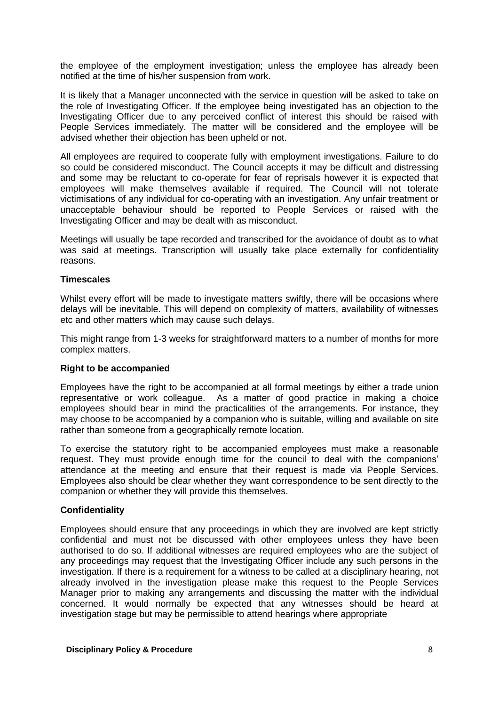the employee of the employment investigation; unless the employee has already been notified at the time of his/her suspension from work.

It is likely that a Manager unconnected with the service in question will be asked to take on the role of Investigating Officer. If the employee being investigated has an objection to the Investigating Officer due to any perceived conflict of interest this should be raised with People Services immediately. The matter will be considered and the employee will be advised whether their objection has been upheld or not.

All employees are required to cooperate fully with employment investigations. Failure to do so could be considered misconduct. The Council accepts it may be difficult and distressing and some may be reluctant to co-operate for fear of reprisals however it is expected that employees will make themselves available if required. The Council will not tolerate victimisations of any individual for co-operating with an investigation. Any unfair treatment or unacceptable behaviour should be reported to People Services or raised with the Investigating Officer and may be dealt with as misconduct.

Meetings will usually be tape recorded and transcribed for the avoidance of doubt as to what was said at meetings. Transcription will usually take place externally for confidentiality reasons.

## **Timescales**

Whilst every effort will be made to investigate matters swiftly, there will be occasions where delays will be inevitable. This will depend on complexity of matters, availability of witnesses etc and other matters which may cause such delays.

This might range from 1-3 weeks for straightforward matters to a number of months for more complex matters.

#### **Right to be accompanied**

Employees have the right to be accompanied at all formal meetings by either a trade union representative or work colleague. As a matter of good practice in making a choice employees should bear in mind the practicalities of the arrangements. For instance, they may choose to be accompanied by a companion who is suitable, willing and available on site rather than someone from a geographically remote location.

To exercise the statutory right to be accompanied employees must make a reasonable request. They must provide enough time for the council to deal with the companions' attendance at the meeting and ensure that their request is made via People Services. Employees also should be clear whether they want correspondence to be sent directly to the companion or whether they will provide this themselves.

#### **Confidentiality**

Employees should ensure that any proceedings in which they are involved are kept strictly confidential and must not be discussed with other employees unless they have been authorised to do so. If additional witnesses are required employees who are the subject of any proceedings may request that the Investigating Officer include any such persons in the investigation. If there is a requirement for a witness to be called at a disciplinary hearing, not already involved in the investigation please make this request to the People Services Manager prior to making any arrangements and discussing the matter with the individual concerned. It would normally be expected that any witnesses should be heard at investigation stage but may be permissible to attend hearings where appropriate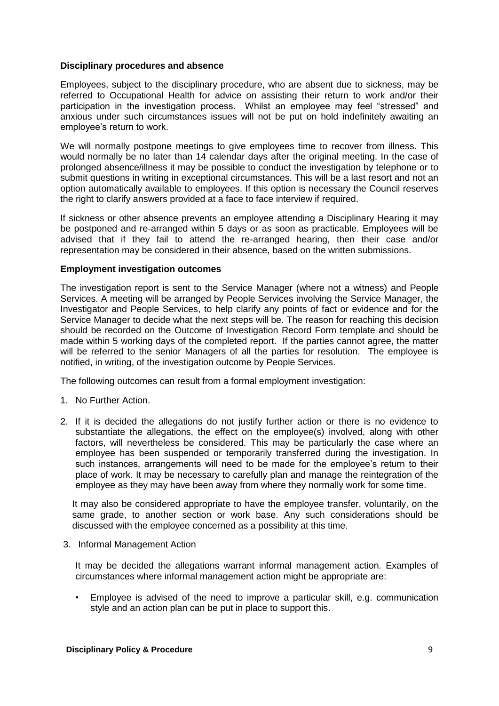#### **Disciplinary procedures and absence**

Employees, subject to the disciplinary procedure, who are absent due to sickness, may be referred to Occupational Health for advice on assisting their return to work and/or their participation in the investigation process. Whilst an employee may feel "stressed" and anxious under such circumstances issues will not be put on hold indefinitely awaiting an employee's return to work.

We will normally postpone meetings to give employees time to recover from illness. This would normally be no later than 14 calendar days after the original meeting. In the case of prolonged absence/illness it may be possible to conduct the investigation by telephone or to submit questions in writing in exceptional circumstances. This will be a last resort and not an option automatically available to employees. If this option is necessary the Council reserves the right to clarify answers provided at a face to face interview if required.

If sickness or other absence prevents an employee attending a Disciplinary Hearing it may be postponed and re-arranged within 5 days or as soon as practicable. Employees will be advised that if they fail to attend the re-arranged hearing, then their case and/or representation may be considered in their absence, based on the written submissions.

## **Employment investigation outcomes**

The investigation report is sent to the Service Manager (where not a witness) and People Services. A meeting will be arranged by People Services involving the Service Manager, the Investigator and People Services, to help clarify any points of fact or evidence and for the Service Manager to decide what the next steps will be. The reason for reaching this decision should be recorded on the Outcome of Investigation Record Form template and should be made within 5 working days of the completed report. If the parties cannot agree, the matter will be referred to the senior Managers of all the parties for resolution. The employee is notified, in writing, of the investigation outcome by People Services.

The following outcomes can result from a formal employment investigation:

- 1. No Further Action.
- 2. If it is decided the allegations do not justify further action or there is no evidence to substantiate the allegations, the effect on the employee(s) involved, along with other factors, will nevertheless be considered. This may be particularly the case where an employee has been suspended or temporarily transferred during the investigation. In such instances, arrangements will need to be made for the employee's return to their place of work. It may be necessary to carefully plan and manage the reintegration of the employee as they may have been away from where they normally work for some time.

It may also be considered appropriate to have the employee transfer, voluntarily, on the same grade, to another section or work base. Any such considerations should be discussed with the employee concerned as a possibility at this time.

3. Informal Management Action

It may be decided the allegations warrant informal management action. Examples of circumstances where informal management action might be appropriate are:

• Employee is advised of the need to improve a particular skill, e.g. communication style and an action plan can be put in place to support this.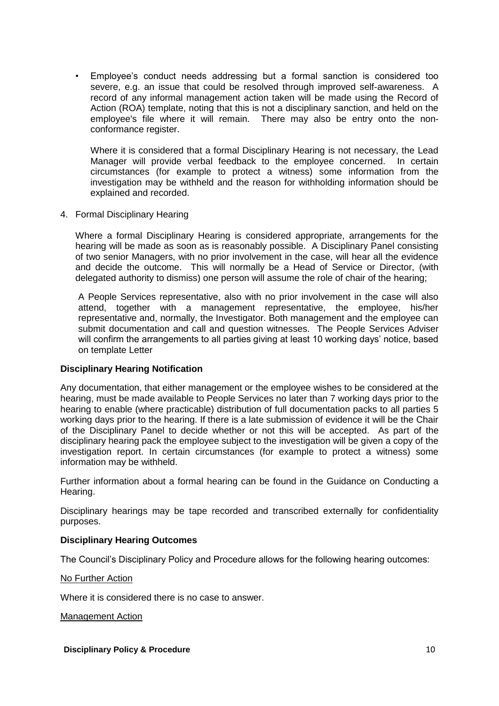• Employee's conduct needs addressing but a formal sanction is considered too severe, e.g. an issue that could be resolved through improved self-awareness. A record of any informal management action taken will be made using the Record of Action (ROA) template, noting that this is not a disciplinary sanction, and held on the employee's file where it will remain. There may also be entry onto the nonconformance register.

Where it is considered that a formal Disciplinary Hearing is not necessary, the Lead Manager will provide verbal feedback to the employee concerned. In certain circumstances (for example to protect a witness) some information from the investigation may be withheld and the reason for withholding information should be explained and recorded.

4. Formal Disciplinary Hearing

Where a formal Disciplinary Hearing is considered appropriate, arrangements for the hearing will be made as soon as is reasonably possible. A Disciplinary Panel consisting of two senior Managers, with no prior involvement in the case, will hear all the evidence and decide the outcome. This will normally be a Head of Service or Director, (with delegated authority to dismiss) one person will assume the role of chair of the hearing;

A People Services representative, also with no prior involvement in the case will also attend, together with a management representative, the employee, his/her representative and, normally, the Investigator. Both management and the employee can submit documentation and call and question witnesses. The People Services Adviser will confirm the arrangements to all parties giving at least 10 working days' notice, based on template Letter

#### **Disciplinary Hearing Notification**

Any documentation, that either management or the employee wishes to be considered at the hearing, must be made available to People Services no later than 7 working days prior to the hearing to enable (where practicable) distribution of full documentation packs to all parties 5 working days prior to the hearing. If there is a late submission of evidence it will be the Chair of the Disciplinary Panel to decide whether or not this will be accepted. As part of the disciplinary hearing pack the employee subject to the investigation will be given a copy of the investigation report. In certain circumstances (for example to protect a witness) some information may be withheld.

Further information about a formal hearing can be found in the Guidance on Conducting a Hearing.

Disciplinary hearings may be tape recorded and transcribed externally for confidentiality purposes.

## **Disciplinary Hearing Outcomes**

The Council's Disciplinary Policy and Procedure allows for the following hearing outcomes:

#### No Further Action

Where it is considered there is no case to answer.

Management Action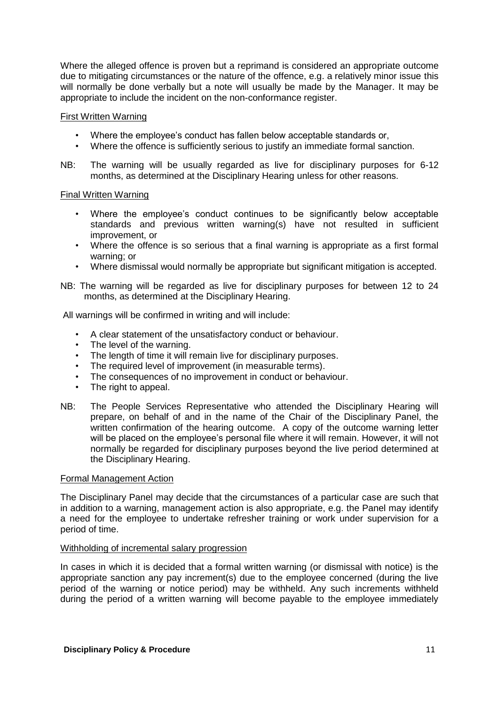Where the alleged offence is proven but a reprimand is considered an appropriate outcome due to mitigating circumstances or the nature of the offence, e.g. a relatively minor issue this will normally be done verbally but a note will usually be made by the Manager. It may be appropriate to include the incident on the non-conformance register.

#### First Written Warning

- Where the employee's conduct has fallen below acceptable standards or,
- Where the offence is sufficiently serious to justify an immediate formal sanction.
- NB: The warning will be usually regarded as live for disciplinary purposes for 6-12 months, as determined at the Disciplinary Hearing unless for other reasons.

#### Final Written Warning

- Where the employee's conduct continues to be significantly below acceptable standards and previous written warning(s) have not resulted in sufficient improvement, or
- Where the offence is so serious that a final warning is appropriate as a first formal warning; or
- Where dismissal would normally be appropriate but significant mitigation is accepted.
- NB: The warning will be regarded as live for disciplinary purposes for between 12 to 24 months, as determined at the Disciplinary Hearing.

All warnings will be confirmed in writing and will include:

- A clear statement of the unsatisfactory conduct or behaviour.
- The level of the warning.
- The length of time it will remain live for disciplinary purposes.
- The required level of improvement (in measurable terms).
- The consequences of no improvement in conduct or behaviour.
- The right to appeal.
- NB: The People Services Representative who attended the Disciplinary Hearing will prepare, on behalf of and in the name of the Chair of the Disciplinary Panel, the written confirmation of the hearing outcome. A copy of the outcome warning letter will be placed on the employee's personal file where it will remain. However, it will not normally be regarded for disciplinary purposes beyond the live period determined at the Disciplinary Hearing.

#### Formal Management Action

The Disciplinary Panel may decide that the circumstances of a particular case are such that in addition to a warning, management action is also appropriate, e.g. the Panel may identify a need for the employee to undertake refresher training or work under supervision for a period of time.

#### Withholding of incremental salary progression

In cases in which it is decided that a formal written warning (or dismissal with notice) is the appropriate sanction any pay increment(s) due to the employee concerned (during the live period of the warning or notice period) may be withheld. Any such increments withheld during the period of a written warning will become payable to the employee immediately